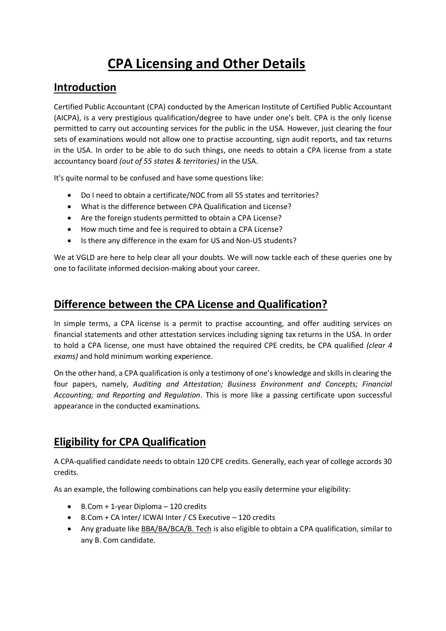# **CPA Licensing and Other Details**

#### **Introduction**

Certified Public Accountant (CPA) conducted by the American Institute of Certified Public Accountant (AICPA), is a very prestigious qualification/degree to have under one's belt. CPA is the only license permitted to carry out accounting services for the public in the USA. However, just clearing the four sets of examinations would not allow one to practise accounting, sign audit reports, and tax returns in the USA. In order to be able to do such things, one needs to obtain a CPA license from a state accountancy board *(out of 55 states & territories)* in the USA.

It's quite normal to be confused and have some questions like:

- Do I need to obtain a certificate/NOC from all 55 states and territories?
- What is the difference between CPA Qualification and License?
- Are the foreign students permitted to obtain a CPA License?
- How much time and fee is required to obtain a CPA License?
- Is there any difference in the exam for US and Non-US students?

We at VGLD are here to help clear all your doubts. We will now tackle each of these queries one by one to facilitate informed decision-making about your career.

#### **Difference between the CPA License and Qualification?**

In simple terms, a CPA license is a permit to practise accounting, and offer auditing services on financial statements and other attestation services including signing tax returns in the USA. In order to hold a CPA license, one must have obtained the required CPE credits, be CPA qualified *(clear 4 exams)* and hold minimum working experience.

On the other hand, a CPA qualification is only a testimony of one's knowledge and skills in clearing the four papers, namely, *Auditing and Attestation; Business Environment and Concepts; Financial Accounting; and Reporting and Regulation*. This is more like a passing certificate upon successful appearance in the conducted examinations.

# **Eligibility for CPA Qualification**

A CPA-qualified candidate needs to obtain 120 CPE credits. Generally, each year of college accords 30 credits.

As an example, the following combinations can help you easily determine your eligibility:

- $\bullet$  B.Com + 1-year Diploma 120 credits
- B.Com + CA Inter/ ICWAI Inter / CS Executive 120 credits
- Any graduate like BBA/BA/BCA/B. Tech is also eligible to obtain a CPA qualification, similar to any B. Com candidate.